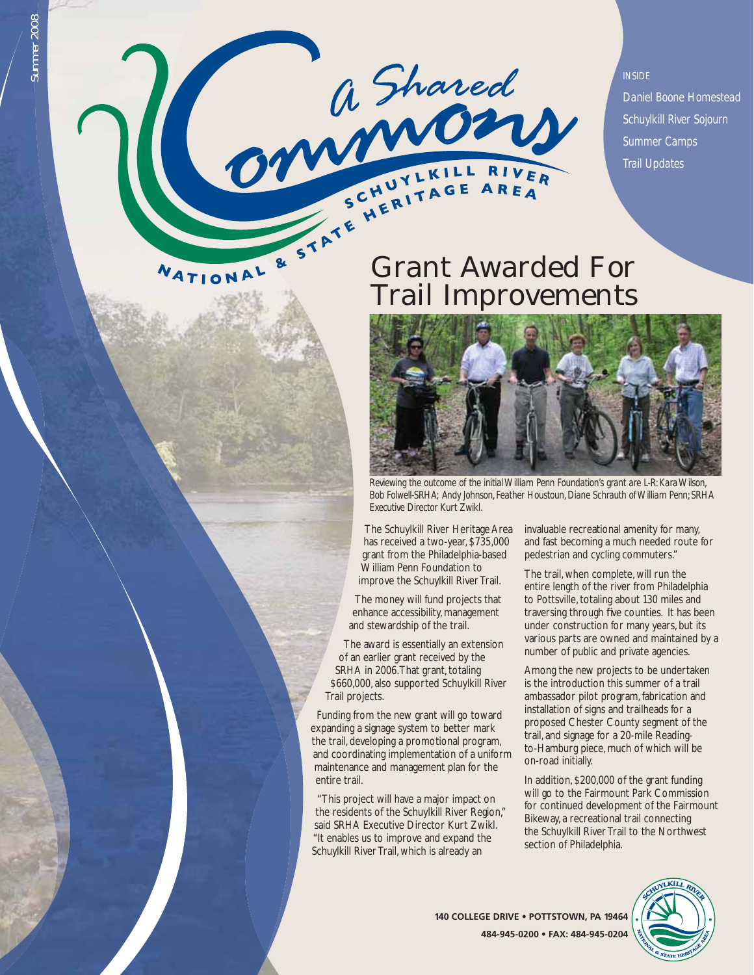

*INSIDE Daniel Boone Homestead Schuylkill River Sojourn Summer Camps Trail Updates*

# Trail Improvements



*Reviewing the outcome of the initial William Penn Foundation's grant are L-R: Kara Wilson, Bob Folwell-SRHA; Andy Johnson, Feather Houstoun, Diane Schrauth of William Penn; SRHA Executive Director Kurt Zwikl.*

The Schuylkill River Heritage Area has received a two-year, \$735,000 grant from the Philadelphia-based William Penn Foundation to improve the Schuylkill River Trail.

The money will fund projects that enhance accessibility, management and stewardship of the trail.

The award is essentially an extension of an earlier grant received by the SRHA in 2006. That grant, totaling \$660,000, also supported Schuylkill River Trail projects.

Funding from the new grant will go toward expanding a signage system to better mark the trail, developing a promotional program, and coordinating implementation of a uniform maintenance and management plan for the entire trail.

 "This project will have a major impact on the residents of the Schuylkill River Region," said SRHA Executive Director Kurt Zwikl. "It enables us to improve and expand the Schuylkill River Trail, which is already an

invaluable recreational amenity for many, and fast becoming a much needed route for pedestrian and cycling commuters."

The trail, when complete, will run the entire length of the river from Philadelphia to Pottsville, totaling about 130 miles and traversing through five counties. It has been under construction for many years, but its various parts are owned and maintained by a number of public and private agencies.

Among the new projects to be undertaken is the introduction this summer of a trail ambassador pilot program, fabrication and installation of signs and trailheads for a proposed Chester County segment of the trail, and signage for a 20-mile Readingto-Hamburg piece, much of which will be on-road initially.

In addition, \$200,000 of the grant funding will go to the Fairmount Park Commission for continued development of the Fairmount Bikeway, a recreational trail connecting the Schuylkill River Trail to the Northwest section of Philadelphia.



**140 COLLEGE DRIVE • POTTSTOWN, PA 19464 484-945-0200 • FAX: 484-945-0204**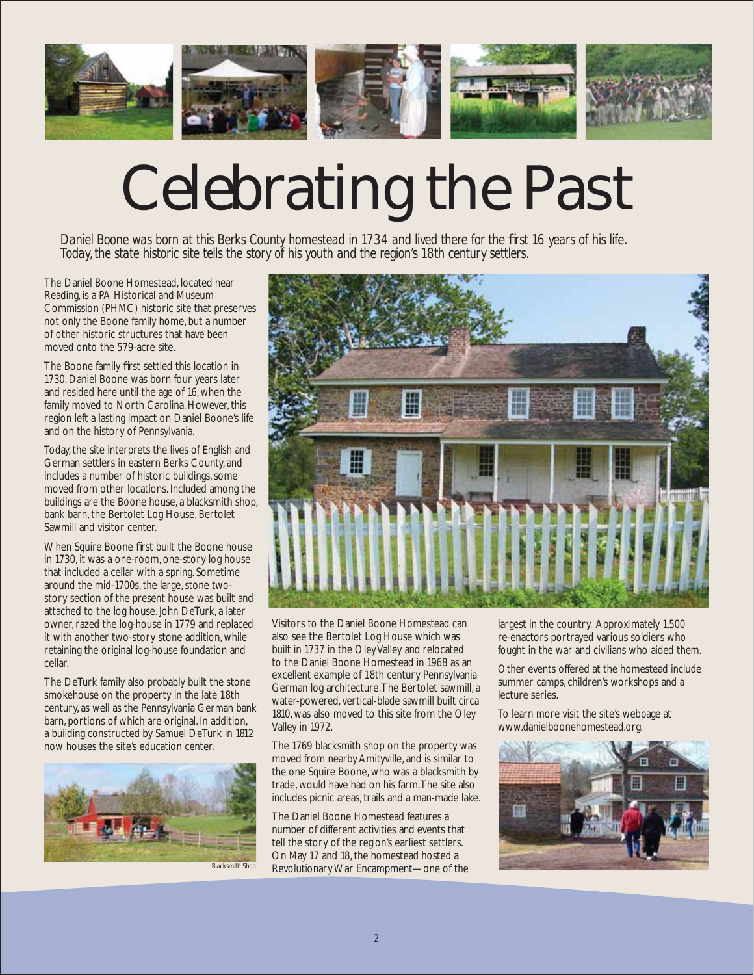

# Celebrating the Past

*Daniel Boone was born at this Berks County homestead in 1734 and lived there for the fi rst 16 years of his life. Today, the state historic site tells the story of his youth and the region's 18th century settlers.*

The Daniel Boone Homestead, located near Reading, is a PA Historical and Museum Commission (PHMC) historic site that preserves not only the Boone family home, but a number of other historic structures that have been moved onto the 579-acre site.

The Boone family first settled this location in 1730. Daniel Boone was born four years later and resided here until the age of 16, when the family moved to North Carolina. However, this region left a lasting impact on Daniel Boone's life and on the history of Pennsylvania.

Today, the site interprets the lives of English and German settlers in eastern Berks County, and includes a number of historic buildings, some moved from other locations. Included among the buildings are the Boone house, a blacksmith shop, bank barn, the Bertolet Log House, Bertolet Sawmill and visitor center.

When Squire Boone first built the Boone house in 1730, it was a one-room, one-story log house that included a cellar with a spring. Sometime around the mid-1700s, the large, stone twostory section of the present house was built and attached to the log house. John DeTurk, a later owner, razed the log-house in 1779 and replaced it with another two-story stone addition, while retaining the original log-house foundation and cellar.

The DeTurk family also probably built the stone smokehouse on the property in the late 18th century, as well as the Pennsylvania German bank barn, portions of which are original. In addition, a building constructed by Samuel DeTurk in 1812 now houses the site's education center.



*Blacksmith Shop*



Visitors to the Daniel Boone Homestead can also see the Bertolet Log House which was built in 1737 in the Oley Valley and relocated to the Daniel Boone Homestead in 1968 as an excellent example of 18th century Pennsylvania German log architecture. The Bertolet sawmill, a water-powered, vertical-blade sawmill built circa 1810, was also moved to this site from the Oley Valley in 1972.

The 1769 blacksmith shop on the property was moved from nearby Amityville, and is similar to the one Squire Boone, who was a blacksmith by trade, would have had on his farm. The site also includes picnic areas, trails and a man-made lake.

The Daniel Boone Homestead features a number of different activities and events that tell the story of the region's earliest settlers. On May 17 and 18, the homestead hosted a Revolutionary War Encampment—one of the

largest in the country. Approximately 1,500 re-enactors portrayed various soldiers who fought in the war and civilians who aided them.

Other events offered at the homestead include summer camps, children's workshops and a lecture series.

To learn more visit the site's webpage at www.danielboonehomestead.org.

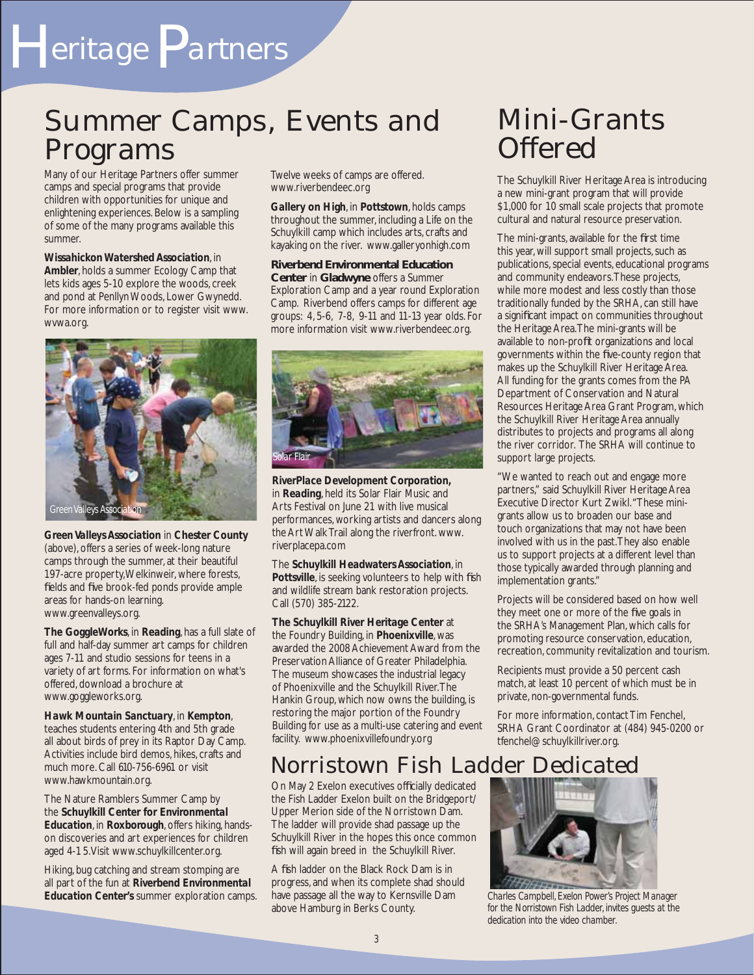# H*eritage*P*artners*

## Summer Camps, Events and Programs

Many of our Heritage Partners offer summer camps and special programs that provide children with opportunities for unique and enlightening experiences. Below is a sampling of some of the many programs available this summer.

*Wissahickon Watershed Association*, in *Ambler*, holds a summer Ecology Camp that lets kids ages 5-10 explore the woods, creek and pond at Penllyn Woods, Lower Gwynedd. For more information or to register visit www. wvwa.org.



*Green Valleys Association* in *Chester County* (above), offers a series of week-long nature camps through the summer, at their beautiful 197-acre property, Welkinweir, where forests, fields and five brook-fed ponds provide ample areas for hands-on learning. www.greenvalleys.org.

*The GoggleWorks*, in *Reading*, has a full slate of full and half-day summer art camps for children ages 7-11 and studio sessions for teens in a variety of art forms. For information on what's offered, download a brochure at www.goggleworks.org.

*Hawk Mountain Sanctuary*, in *Kempton*, teaches students entering 4th and 5th grade all about birds of prey in its Raptor Day Camp. Activities include bird demos, hikes, crafts and much more. Call 610-756-6961 or visit www.hawkmountain.org.

The Nature Ramblers Summer Camp by the *Schuylkill Center for Environmental Education*, in *Roxborough*, offers hiking, handson discoveries and art experiences for children aged 4-1 5. Visit www.schuylkillcenter.org.

Hiking, bug catching and stream stomping are all part of the fun at *Riverbend Environmental Education Center's* summer exploration camps. Twelve weeks of camps are offered. www.riverbendeec.org

*Gallery on High*, in *Pottstown*, holds camps throughout the summer, including a Life on the Schuylkill camp which includes arts, crafts and kayaking on the river. www.galleryonhigh.com

**Riverbend Environmental Education Center** in **Gladwyne** offers a Summer Exploration Camp and a year round Exploration Camp. Riverbend offers camps for different age groups: 4, 5-6, 7-8, 9-11 and 11-13 year olds. For more information visit www.riverbendeec.org.



*RiverPlace Development Corporation,*  in *Reading*, held its Solar Flair Music and Arts Festival on June 21 with live musical performances, working artists and dancers along the Art Walk Trail along the riverfront. www. riverplacepa.com

The *Schuylkill Headwaters Association*, in *Pottsville*, is seeking volunteers to help with fish and wildlife stream bank restoration projects. Call (570) 385-2122.

*The Schuylkill River Heritage Center* at the Foundry Building, in *Phoenixville*, was awarded the 2008 Achievement Award from the Preservation Alliance of Greater Philadelphia. The museum showcases the industrial legacy of Phoenixville and the Schuylkill River. The Hankin Group, which now owns the building, is restoring the major portion of the Foundry Building for use as a multi-use catering and event facility. www.phoenixvillefoundry.org

## Norristown Fish Ladder Dedicated

On May 2 Exelon executives officially dedicated the Fish Ladder Exelon built on the Bridgeport/ Upper Merion side of the Norristown Dam. The ladder will provide shad passage up the Schuylkill River in the hopes this once common fish will again breed in the Schuylkill River.

A fish ladder on the Black Rock Dam is in progress, and when its complete shad should have passage all the way to Kernsville Dam above Hamburg in Berks County.

## Mini-Grants Offered

The Schuylkill River Heritage Area is introducing a new mini-grant program that will provide \$1,000 for 10 small scale projects that promote cultural and natural resource preservation.

The mini-grants, available for the first time this year, will support small projects, such as publications, special events, educational programs and community endeavors. These projects, while more modest and less costly than those traditionally funded by the SRHA, can still have a significant impact on communities throughout the Heritage Area. The mini-grants will be available to non-profit organizations and local governments within the five-county region that makes up the Schuylkill River Heritage Area. All funding for the grants comes from the PA Department of Conservation and Natural Resources Heritage Area Grant Program, which the Schuylkill River Heritage Area annually distributes to projects and programs all along the river corridor. The SRHA will continue to support large projects.

"We wanted to reach out and engage more partners," said Schuylkill River Heritage Area Executive Director Kurt Zwikl. "These minigrants allow us to broaden our base and touch organizations that may not have been involved with us in the past. They also enable us to support projects at a different level than those typically awarded through planning and implementation grants."

Projects will be considered based on how well they meet one or more of the five goals in the SRHA's Management Plan, which calls for promoting resource conservation, education, recreation, community revitalization and tourism.

Recipients must provide a 50 percent cash match, at least 10 percent of which must be in private, non-governmental funds.

For more information, contact Tim Fenchel, SRHA Grant Coordinator at (484) 945-0200 or tfenchel@schuylkillriver.org.



*Charles Campbell, Exelon Power's Project Manager for the Norristown Fish Ladder, invites guests at the dedication into the video chamber.*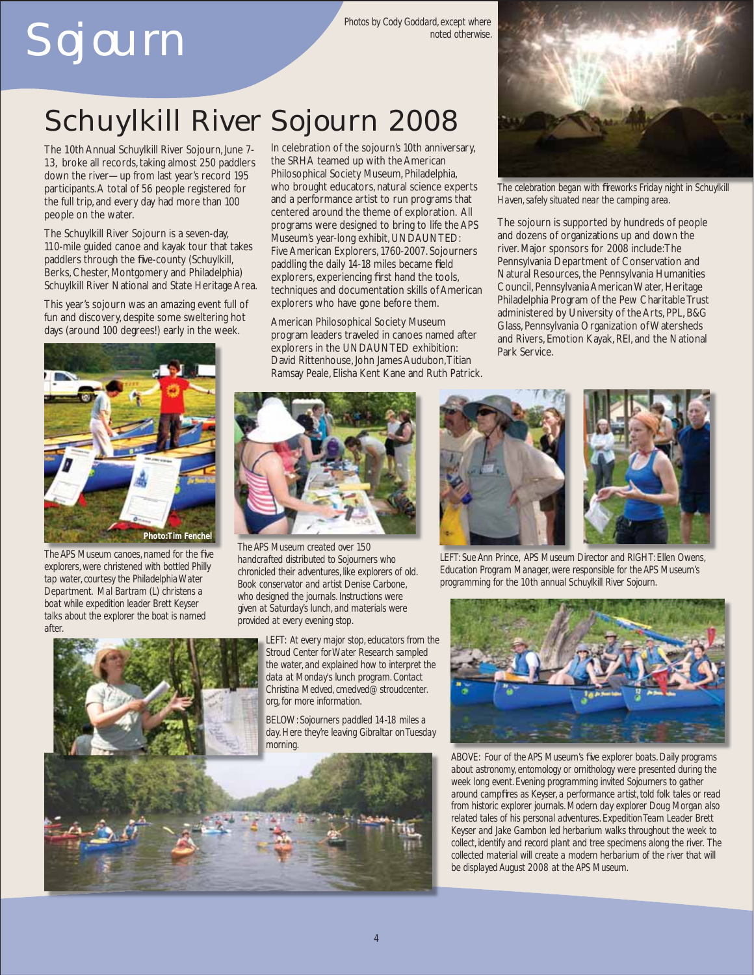# Sojourn

*Photos by Cody Goddard, except where noted otherwise.*

# Schuylkill River Sojourn 2008

The 10th Annual Schuylkill River Sojourn, June 7- 13, broke all records, taking almost 250 paddlers down the river—up from last year's record 195 participants. A total of 56 people registered for the full trip, and every day had more than 100 people on the water.

The Schuylkill River Sojourn is a seven-day, 110-mile guided canoe and kayak tour that takes paddlers through the five-county (Schuylkill, Berks, Chester, Montgomery and Philadelphia) Schuylkill River National and State Heritage Area.

This year's sojourn was an amazing event full of fun and discovery, despite some sweltering hot days (around 100 degrees!) early in the week.



**The APS Museum canoes, named for the five** *explorers, were christened with bottled Philly tap water, courtesy the Philadelphia Water Department. Mal Bartram (L) christens a boat while expedition leader Brett Keyser talks about the explorer the boat is named after.*



In celebration of the sojourn's 10th anniversary, the SRHA teamed up with the American Philosophical Society Museum, Philadelphia, who brought educators, natural science experts and a performance artist to run programs that centered around the theme of exploration. All programs were designed to bring to life the APS Museum's year-long exhibit, UNDAUNTED: Five American Explorers, 1760-2007. Sojourners paddling the daily 14-18 miles became field explorers, experiencing first hand the tools, techniques and documentation skills of American explorers who have gone before them.

American Philosophical Society Museum program leaders traveled in canoes named after explorers in the UNDAUNTED exhibition: David Rittenhouse, John James Audubon, Titian Ramsay Peale, Elisha Kent Kane and Ruth Patrick.



*The APS Museum created over 150 handcrafted distributed to Sojourners who chronicled their adventures, like explorers of old. Book conservator and artist Denise Carbone, who designed the journals. Instructions were given at Saturday's lunch, and materials were provided at every evening stop.* 

*LEFT: At every major stop, educators from the Stroud Center for Water Research sampled the water, and explained how to interpret the data at Monday's lunch program. Contact Christina Medved, cmedved@stroudcenter. org, for more information.*

*BELOW: Sojourners paddled 14-18 miles a day. Here they're leaving Gibraltar on Tuesday morning.* 





*The celebration began with fi reworks Friday night in Schuylkill Haven, safely situated near the camping area.* 

The sojourn is supported by hundreds of people and dozens of organizations up and down the river. Major sponsors for 2008 include: The Pennsylvania Department of Conservation and Natural Resources, the Pennsylvania Humanities Council, Pennsylvania American Water, Heritage Philadelphia Program of the Pew Charitable Trust administered by University of the Arts, PPL, B&G Glass, Pennsylvania Organization of Watersheds and Rivers, Emotion Kayak, REI, and the National Park Service.



*LEFT: Sue Ann Prince, APS Museum Director and RIGHT: Ellen Owens, Education Program Manager, were responsible for the APS Museum's programming for the 10th annual Schuylkill River Sojourn.* 



ABOVE: Four of the APS Museum's five explorer boats. Daily programs *about astronomy, entomology or ornithology were presented during the week long event. Evening programming invited Sojourners to gather around campfi res as Keyser, a performance artist, told folk tales or read from historic explorer journals. Modern day explorer Doug Morgan also related tales of his personal adventures. Expedition Team Leader Brett Keyser and Jake Gambon led herbarium walks throughout the week to collect, identify and record plant and tree specimens along the river. The collected material will create a modern herbarium of the river that will be displayed August 2008 at the APS Museum.*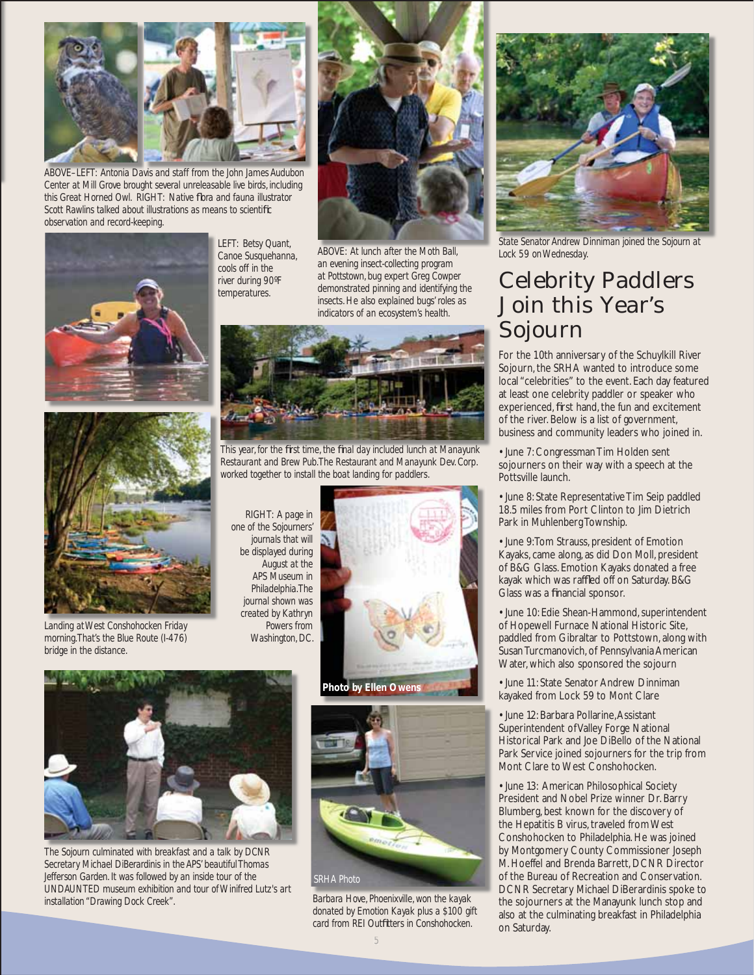

*ABOVE–LEFT: Antonia Davis and staff from the John James Audubon Center at Mill Grove brought several unreleasable live birds, including this Great Horned Owl. RIGHT: Native fl ora and fauna illustrator Scott Rawlins talked about illustrations as means to scientifi c observation and record-keeping.*



*LEFT: Betsy Quant, Canoe Susquehanna, cools off in the river during 90ºF temperatures.*



*ABOVE: At lunch after the Moth Ball, an evening insect-collecting program at Pottstown, bug expert Greg Cowper demonstrated pinning and identifying the insects. He also explained bugs' roles as indicators of an ecosystem's health.*



*Landing at West Conshohocken Friday morning. That's the Blue Route (I-476) bridge in the distance.*



*This year, for the fi rst time, the fi nal day included lunch at Manayunk Restaurant and Brew Pub. The Restaurant and Manayunk Dev. Corp. worked together to install the boat landing for paddlers.*

*RIGHT: A page in one of the Sojourners' journals that will be displayed during August at the APS Museum in Philadelphia. The journal shown was created by Kathryn Powers from Washington, DC.*



*The Sojourn culminated with breakfast and a talk by DCNR Secretary Michael DiBerardinis in the APS' beautiful Thomas Jefferson Garden. It was followed by an inside tour of the UNDAUNTED museum exhibition and tour of Winifred Lutz's art installation "Drawing Dock Creek".*



*Barbara Hove, Phoenixville, won the kayak donated by Emotion Kayak plus a \$100 gift card from REI Outfi tters in Conshohocken.*



*State Senator Andrew Dinniman joined the Sojourn at Lock 59 on Wednesday.*

## Celebrity Paddlers Join this Year's Sojourn

For the 10th anniversary of the Schuylkill River Sojourn, the SRHA wanted to introduce some local "celebrities" to the event. Each day featured at least one celebrity paddler or speaker who experienced, first hand, the fun and excitement of the river. Below is a list of government, business and community leaders who joined in.

• June 7: Congressman Tim Holden sent sojourners on their way with a speech at the Pottsville launch.

• June 8: State Representative Tim Seip paddled 18.5 miles from Port Clinton to Jim Dietrich Park in Muhlenberg Township.

• June 9: Tom Strauss, president of Emotion Kayaks, came along, as did Don Moll, president of B&G Glass. Emotion Kayaks donated a free kayak which was raffled off on Saturday. B&G Glass was a financial sponsor.

• June 10: Edie Shean-Hammond, superintendent of Hopewell Furnace National Historic Site, paddled from Gibraltar to Pottstown, along with Susan Turcmanovich, of Pennsylvania American Water, which also sponsored the sojourn

• June 11: State Senator Andrew Dinniman kayaked from Lock 59 to Mont Clare

• June 12: Barbara Pollarine, Assistant Superintendent of Valley Forge National Historical Park and Joe DiBello of the National Park Service joined sojourners for the trip from Mont Clare to West Conshohocken.

• June 13: American Philosophical Society President and Nobel Prize winner Dr. Barry Blumberg, best known for the discovery of the Hepatitis B virus, traveled from West Conshohocken to Philadelphia. He was joined by Montgomery County Commissioner Joseph M. Hoeffel and Brenda Barrett, DCNR Director of the Bureau of Recreation and Conservation. DCNR Secretary Michael DiBerardinis spoke to the sojourners at the Manayunk lunch stop and also at the culminating breakfast in Philadelphia on Saturday.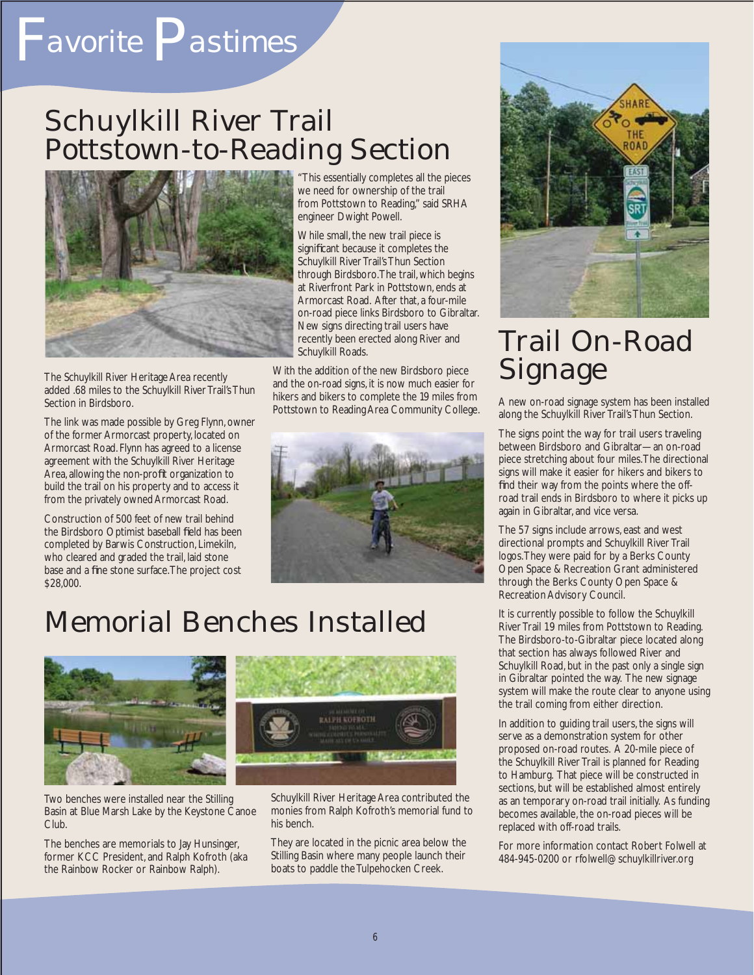# F*avorite* P*astimes*

## Schuylkill River Trail Pottstown-to-Reading Section



The Schuylkill River Heritage Area recently added .68 miles to the Schuylkill River Trail's Thun Section in Birdsboro.

The link was made possible by Greg Flynn, owner of the former Armorcast property, located on Armorcast Road. Flynn has agreed to a license agreement with the Schuylkill River Heritage Area, allowing the non-profit organization to build the trail on his property and to access it from the privately owned Armorcast Road.

Construction of 500 feet of new trail behind the Birdsboro Optimist baseball field has been completed by Barwis Construction, Limekiln, who cleared and graded the trail, laid stone base and a fine stone surface. The project cost \$28,000.

"This essentially completes all the pieces we need for ownership of the trail from Pottstown to Reading," said SRHA engineer Dwight Powell.

While small, the new trail piece is significant because it completes the Schuylkill River Trail's Thun Section through Birdsboro. The trail, which begins at Riverfront Park in Pottstown, ends at Armorcast Road. After that, a four-mile on-road piece links Birdsboro to Gibraltar. New signs directing trail users have recently been erected along River and Schuylkill Roads.

With the addition of the new Birdsboro piece and the on-road signs, it is now much easier for hikers and bikers to complete the 19 miles from Pottstown to Reading Area Community College.



## Memorial Benches Installed



Two benches were installed near the Stilling Basin at Blue Marsh Lake by the Keystone Canoe Club.

The benches are memorials to Jay Hunsinger, former KCC President, and Ralph Kofroth (aka the Rainbow Rocker or Rainbow Ralph).



Schuylkill River Heritage Area contributed the monies from Ralph Kofroth's memorial fund to his bench.

They are located in the picnic area below the Stilling Basin where many people launch their boats to paddle the Tulpehocken Creek.



## Trail On-Road Signage

A new on-road signage system has been installed along the Schuylkill River Trail's Thun Section.

The signs point the way for trail users traveling between Birdsboro and Gibraltar—an on-road piece stretching about four miles. The directional signs will make it easier for hikers and bikers to find their way from the points where the offroad trail ends in Birdsboro to where it picks up again in Gibraltar, and vice versa.

The 57 signs include arrows, east and west directional prompts and Schuylkill River Trail logos. They were paid for by a Berks County Open Space & Recreation Grant administered through the Berks County Open Space & Recreation Advisory Council.

It is currently possible to follow the Schuylkill River Trail 19 miles from Pottstown to Reading. The Birdsboro-to-Gibraltar piece located along that section has always followed River and Schuylkill Road, but in the past only a single sign in Gibraltar pointed the way. The new signage system will make the route clear to anyone using the trail coming from either direction.

In addition to guiding trail users, the signs will serve as a demonstration system for other proposed on-road routes. A 20-mile piece of the Schuylkill River Trail is planned for Reading to Hamburg. That piece will be constructed in sections, but will be established almost entirely as an temporary on-road trail initially. As funding becomes available, the on-road pieces will be replaced with off-road trails.

For more information contact Robert Folwell at 484-945-0200 or rfolwell@schuylkillriver.org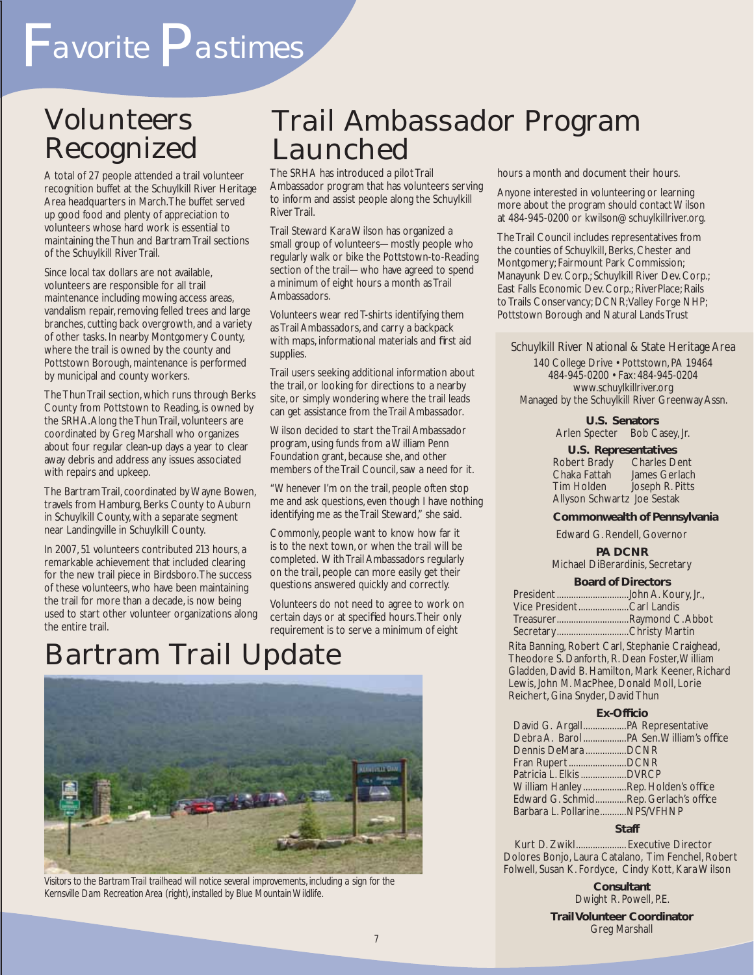# Volunteers

A total of 27 people attended a trail volunteer recognition buffet at the Schuylkill River Heritage Area headquarters in March. The buffet served up good food and plenty of appreciation to volunteers whose hard work is essential to maintaining the Thun and Bartram Trail sections of the Schuylkill River Trail.

Since local tax dollars are not available, volunteers are responsible for all trail maintenance including mowing access areas, vandalism repair, removing felled trees and large branches, cutting back overgrowth, and a variety of other tasks. In nearby Montgomery County, where the trail is owned by the county and Pottstown Borough, maintenance is performed by municipal and county workers.

The Thun Trail section, which runs through Berks County from Pottstown to Reading, is owned by the SRHA. Along the Thun Trail, volunteers are coordinated by Greg Marshall who organizes about four regular clean-up days a year to clear away debris and address any issues associated with repairs and upkeep.

The Bartram Trail, coordinated by Wayne Bowen, travels from Hamburg, Berks County to Auburn in Schuylkill County, with a separate segment near Landingville in Schuylkill County.

In 2007, 51 volunteers contributed 213 hours, a remarkable achievement that included clearing for the new trail piece in Birdsboro. The success of these volunteers, who have been maintaining the trail for more than a decade, is now being used to start other volunteer organizations along the entire trail.

## Trail Ambassador Program Launched

The SRHA has introduced a pilot Trail Ambassador program that has volunteers serving to inform and assist people along the Schuylkill River Trail.

Trail Steward Kara Wilson has organized a small group of volunteers—mostly people who regularly walk or bike the Pottstown-to-Reading section of the trail—who have agreed to spend a minimum of eight hours a month as Trail Ambassadors.

Volunteers wear red T-shirts identifying them as Trail Ambassadors, and carry a backpack with maps, informational materials and first aid supplies.

Trail users seeking additional information about the trail, or looking for directions to a nearby site, or simply wondering where the trail leads can get assistance from the Trail Ambassador.

Wilson decided to start the Trail Ambassador program, using funds from a William Penn Foundation grant, because she, and other members of the Trail Council, saw a need for it.

"Whenever I'm on the trail, people often stop me and ask questions, even though I have nothing identifying me as the Trail Steward," she said.

Commonly, people want to know how far it is to the next town, or when the trail will be completed. With Trail Ambassadors regularly on the trail, people can more easily get their questions answered quickly and correctly.

Volunteers do not need to agree to work on certain days or at specified hours. Their only requirement is to serve a minimum of eight

## Bartram Trail Update



*Visitors to the Bartram Trail trailhead will notice several improvements, including a sign for the Kernsville Dam Recreation Area (right), installed by Blue Mountain Wildlife.* 

hours a month and document their hours.

Anyone interested in volunteering or learning more about the program should contact Wilson at 484-945-0200 or kwilson@schuylkillriver.org.

The Trail Council includes representatives from the counties of Schuylkill, Berks, Chester and Montgomery; Fairmount Park Commission; Manayunk Dev. Corp.; Schuylkill River Dev. Corp.; East Falls Economic Dev. Corp.; RiverPlace; Rails to Trails Conservancy; DCNR; Valley Forge NHP; Pottstown Borough and Natural Lands Trust

Schuylkill River National & State Heritage Area

140 College Drive • Pottstown, PA 19464 484-945-0200 • Fax: 484-945-0204 www.schuylkillriver.org Managed by the Schuylkill River Greenway Assn.

> **U.S. Senators** Arlen Specter Bob Casey, Jr.

**U.S. Representatives** Robert Brady<br>Chaka Fattah James Gerlach Tim Holden Joseph R. Pitts Allyson Schwartz Joe Sestak

### **Commonwealth of Pennsylvania**

Edward G. Rendell, Governor

#### **PA DCNR** Michael DiBerardinis, Secretary

#### **Board of Directors**

| Vice PresidentCarl Landis |  |
|---------------------------|--|
| TreasurerRaymond C.Abbot  |  |
| SecretaryChristy Martin   |  |

Rita Banning, Robert Carl, Stephanie Craighead, Theodore S. Danforth, R. Dean Foster, William Gladden, David B. Hamilton, Mark Keener, Richard Lewis, John M. MacPhee, Donald Moll, Lorie Reichert, Gina Snyder, David Thun

#### **Ex-Offi cio**

| Dennis DeMara DCNR                    |  |
|---------------------------------------|--|
| Fran RupertDCNR                       |  |
| Patricia L. Elkis  DVRCP              |  |
| William HanleyRep. Holden's office    |  |
| Edward G. SchmidRep. Gerlach's office |  |
| Barbara L. PollarineNPS/VFHNP         |  |

#### **Staff**

Kurt D. Zwikl.................... Executive Director Dolores Bonjo, Laura Catalano, Tim Fenchel, Robert Folwell, Susan K. Fordyce, Cindy Kott, Kara Wilson

> **Consultant** Dwight R. Powell, P.E.

**Trail Volunteer Coordinator** Greg Marshall